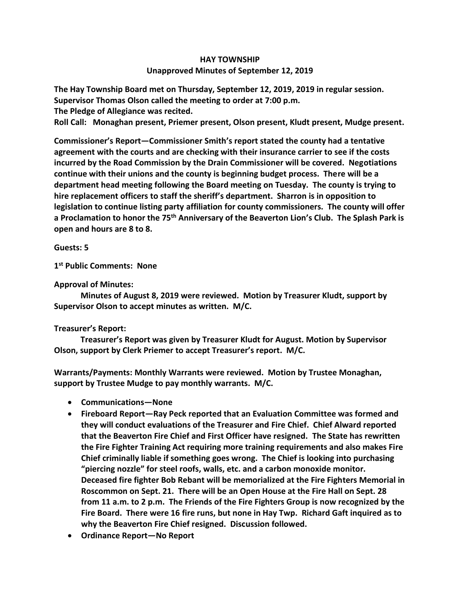## **HAY TOWNSHIP Unapproved Minutes of September 12, 2019**

**The Hay Township Board met on Thursday, September 12, 2019, 2019 in regular session. Supervisor Thomas Olson called the meeting to order at 7:00 p.m.** 

**The Pledge of Allegiance was recited.** 

**Roll Call: Monaghan present, Priemer present, Olson present, Kludt present, Mudge present.**

**Commissioner's Report—Commissioner Smith's report stated the county had a tentative agreement with the courts and are checking with their insurance carrier to see if the costs incurred by the Road Commission by the Drain Commissioner will be covered. Negotiations continue with their unions and the county is beginning budget process. There will be a department head meeting following the Board meeting on Tuesday. The county is trying to hire replacement officers to staff the sheriff's department. Sharron is in opposition to legislation to continue listing party affiliation for county commissioners. The county will offer a Proclamation to honor the 75th Anniversary of the Beaverton Lion's Club. The Splash Park is open and hours are 8 to 8.** 

**Guests: 5**

**1 st Public Comments: None**

**Approval of Minutes:**

 **Minutes of August 8, 2019 were reviewed. Motion by Treasurer Kludt, support by Supervisor Olson to accept minutes as written. M/C.**

## **Treasurer's Report:**

 **Treasurer's Report was given by Treasurer Kludt for August. Motion by Supervisor Olson, support by Clerk Priemer to accept Treasurer's report. M/C.**

**Warrants/Payments: Monthly Warrants were reviewed. Motion by Trustee Monaghan, support by Trustee Mudge to pay monthly warrants. M/C.**

- **Communications—None**
- **Fireboard Report—Ray Peck reported that an Evaluation Committee was formed and they will conduct evaluations of the Treasurer and Fire Chief. Chief Alward reported that the Beaverton Fire Chief and First Officer have resigned. The State has rewritten the Fire Fighter Training Act requiring more training requirements and also makes Fire Chief criminally liable if something goes wrong. The Chief is looking into purchasing "piercing nozzle" for steel roofs, walls, etc. and a carbon monoxide monitor. Deceased fire fighter Bob Rebant will be memorialized at the Fire Fighters Memorial in Roscommon on Sept. 21. There will be an Open House at the Fire Hall on Sept. 28 from 11 a.m. to 2 p.m. The Friends of the Fire Fighters Group is now recognized by the Fire Board. There were 16 fire runs, but none in Hay Twp. Richard Gaft inquired as to why the Beaverton Fire Chief resigned. Discussion followed.**
- **Ordinance Report—No Report**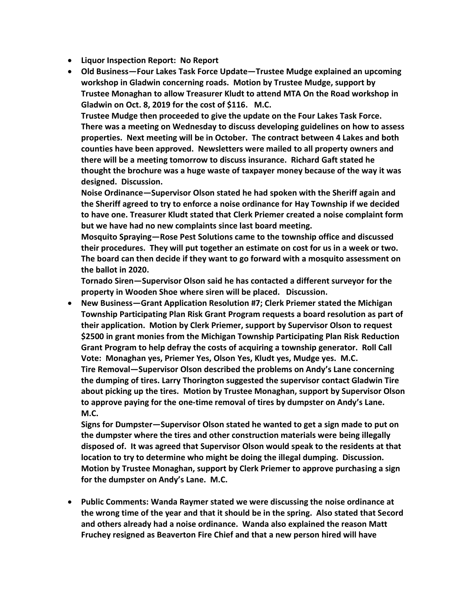- **Liquor Inspection Report: No Report**
- **Old Business—Four Lakes Task Force Update—Trustee Mudge explained an upcoming workshop in Gladwin concerning roads. Motion by Trustee Mudge, support by Trustee Monaghan to allow Treasurer Kludt to attend MTA On the Road workshop in Gladwin on Oct. 8, 2019 for the cost of \$116. M.C.**

**Trustee Mudge then proceeded to give the update on the Four Lakes Task Force. There was a meeting on Wednesday to discuss developing guidelines on how to assess properties. Next meeting will be in October. The contract between 4 Lakes and both counties have been approved. Newsletters were mailed to all property owners and there will be a meeting tomorrow to discuss insurance. Richard Gaft stated he thought the brochure was a huge waste of taxpayer money because of the way it was designed. Discussion.**

**Noise Ordinance—Supervisor Olson stated he had spoken with the Sheriff again and the Sheriff agreed to try to enforce a noise ordinance for Hay Township if we decided to have one. Treasurer Kludt stated that Clerk Priemer created a noise complaint form but we have had no new complaints since last board meeting.** 

**Mosquito Spraying—Rose Pest Solutions came to the township office and discussed their procedures. They will put together an estimate on cost for us in a week or two. The board can then decide if they want to go forward with a mosquito assessment on the ballot in 2020.**

**Tornado Siren—Supervisor Olson said he has contacted a different surveyor for the property in Wooden Shoe where siren will be placed. Discussion.**

• **New Business—Grant Application Resolution #7; Clerk Priemer stated the Michigan Township Participating Plan Risk Grant Program requests a board resolution as part of their application. Motion by Clerk Priemer, support by Supervisor Olson to request \$2500 in grant monies from the Michigan Township Participating Plan Risk Reduction Grant Program to help defray the costs of acquiring a township generator. Roll Call Vote: Monaghan yes, Priemer Yes, Olson Yes, Kludt yes, Mudge yes. M.C. Tire Removal—Supervisor Olson described the problems on Andy's Lane concerning the dumping of tires. Larry Thorington suggested the supervisor contact Gladwin Tire about picking up the tires. Motion by Trustee Monaghan, support by Supervisor Olson to approve paying for the one-time removal of tires by dumpster on Andy's Lane. M.C.**

**Signs for Dumpster—Supervisor Olson stated he wanted to get a sign made to put on the dumpster where the tires and other construction materials were being illegally disposed of. It was agreed that Supervisor Olson would speak to the residents at that location to try to determine who might be doing the illegal dumping. Discussion. Motion by Trustee Monaghan, support by Clerk Priemer to approve purchasing a sign for the dumpster on Andy's Lane. M.C.**

• **Public Comments: Wanda Raymer stated we were discussing the noise ordinance at the wrong time of the year and that it should be in the spring. Also stated that Secord and others already had a noise ordinance. Wanda also explained the reason Matt Fruchey resigned as Beaverton Fire Chief and that a new person hired will have**